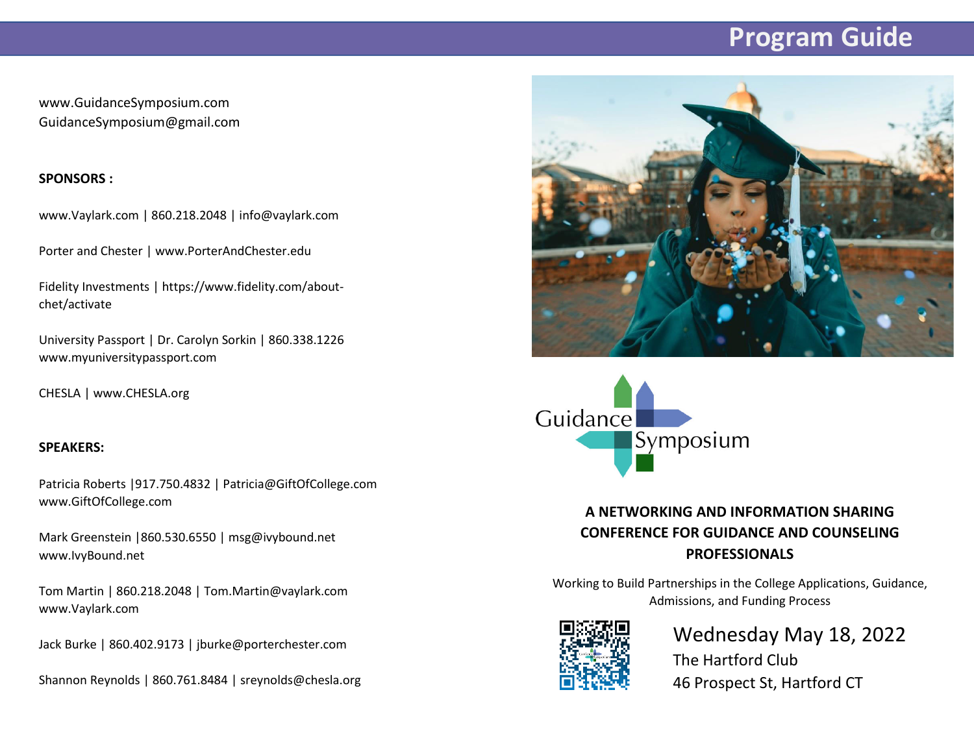# **Program Guide**

www.GuidanceSymposium.com GuidanceSymposium@gmail.com

#### **SPONSORS :**

www.Vaylark.com | 860.218.2048 | info@vaylark.com

Porter and Chester | www.PorterAndChester.edu

Fidelity Investments | https://www.fidelity.com/aboutchet/activate

University Passport | Dr. Carolyn Sorkin | 860.338.1226 www.myuniversitypassport.com

CHESLA | www.CHESLA.org

#### **SPEAKERS:**

Patricia Roberts |917.750.4832 | Patricia@GiftOfCollege.com www.GiftOfCollege.com

Mark Greenstein |860.530.6550 | msg@ivybound.net www.IvyBound.net

Tom Martin | 860.218.2048 | Tom.Martin@vaylark.com www.Vaylark.com

Jack Burke | 860.402.9173 | jburke@porterchester.com

Shannon Reynolds | 860.761.8484 | sreynolds@chesla.org





### **A NETWORKING AND INFORMATION SHARING CONFERENCE FOR GUIDANCE AND COUNSELING PROFESSIONALS**

Working to Build Partnerships in the College Applications, Guidance, Admissions, and Funding Process



## Wednesday May 18, 2022 The Hartford Club 46 Prospect St, Hartford CT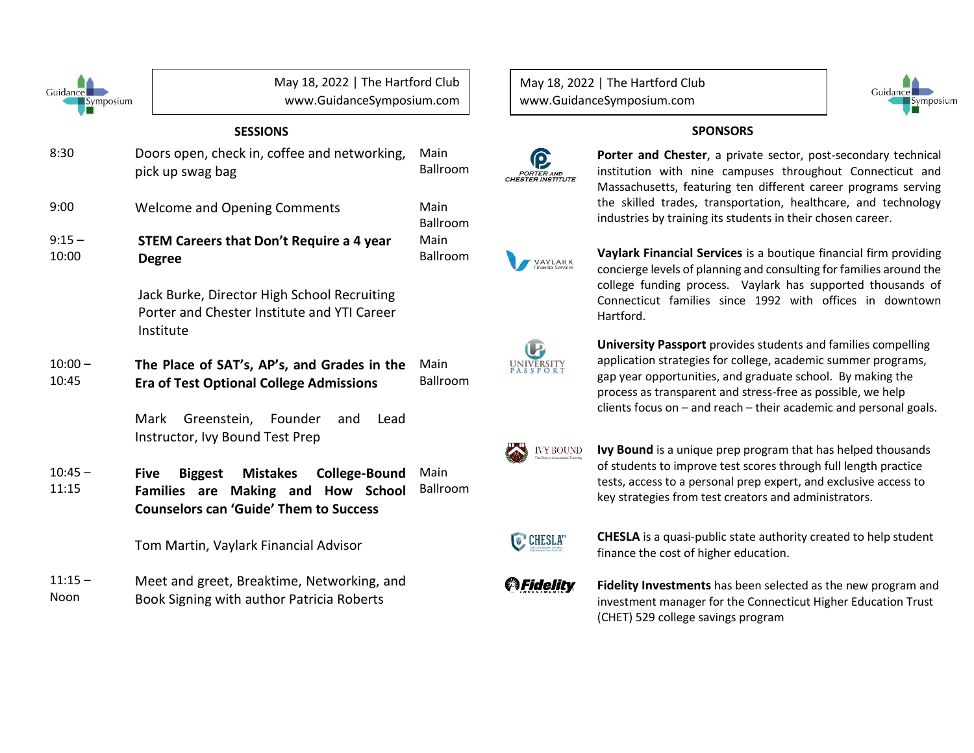| Guidance<br>Symposium |                                                                                                          | May 18, 2022   The Hartford Club<br>www.GuidanceSymposium.com                 |                                     |  |
|-----------------------|----------------------------------------------------------------------------------------------------------|-------------------------------------------------------------------------------|-------------------------------------|--|
| <b>SESSIONS</b>       |                                                                                                          |                                                                               |                                     |  |
| 8:30                  | Doors open, check in, coffee and networking,<br>pick up swag bag                                         |                                                                               | Main<br><b>Ballroom</b>             |  |
| 9:00                  |                                                                                                          | Main<br><b>Welcome and Opening Comments</b>                                   |                                     |  |
| $9:15 -$<br>10:00     | <b>STEM Careers that Don't Require a 4 year</b><br><b>Degree</b>                                         |                                                                               | <b>Ballroom</b><br>Main<br>Ballroom |  |
|                       | Jack Burke, Director High School Recruiting<br>Porter and Chester Institute and YTI Career<br>Institute  |                                                                               |                                     |  |
| $10:00 -$<br>10:45    | <b>Era of Test Optional College Admissions</b>                                                           | The Place of SAT's, AP's, and Grades in the                                   | Main<br><b>Ballroom</b>             |  |
|                       | Mark<br>Greenstein,<br>Instructor, Ivy Bound Test Prep                                                   | Lead<br>Founder<br>and                                                        |                                     |  |
| $10:45 -$<br>11:15    | <b>Five</b><br><b>Biggest</b><br><b>Families</b><br>are<br><b>Counselors can 'Guide' Them to Success</b> | <b>Mistakes</b><br><b>College-Bound</b><br><b>School</b><br>Making and<br>How | Main<br><b>Ballroom</b>             |  |
|                       | Tom Martin, Vaylark Financial Advisor                                                                    |                                                                               |                                     |  |
| $11:15 -$<br>Noon     | Book Signing with author Patricia Roberts                                                                | Meet and greet, Breaktime, Networking, and                                    |                                     |  |

May 18, 2022 | The Hartford Club www.GuidanceSymposium.com



#### **SPONSORS**



**Porter and Chester**, a private sector, post-secondary technical institution with nine campuses throughout Connecticut and Massachusetts, featuring ten different career programs serving the skilled trades, transportation, healthcare, and technology industries by training its students in their chosen career.

**Vaylark Financial Services** is a boutique financial firm providing VAYLARK concierge levels of planning and consulting for families around the college funding process. Vaylark has supported thousands of Connecticut families since 1992 with offices in downtown Hartford.



**University Passport** provides students and families compelling application strategies for college, academic summer programs, gap year opportunities, and graduate school. By making the process as transparent and stress-free as possible, we help clients focus on – and reach – their academic and personal goals.



**Ivy Bound** is a unique prep program that has helped thousands of students to improve test scores through full length practice tests, access to a personal prep expert, and exclusive access to key strategies from test creators and administrators.



**CHESLA** is a quasi-public state authority created to help student finance the cost of higher education.



**Fidelity Investments** has been selected as the new program and investment manager for the Connecticut Higher Education Trust (CHET) 529 college savings program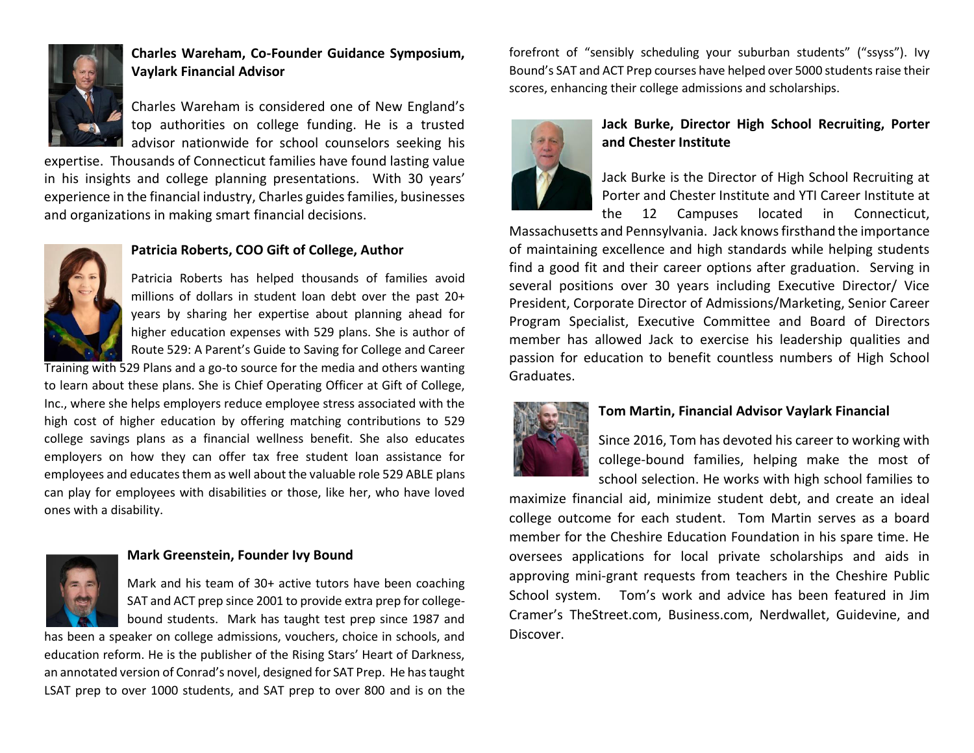

### **Charles Wareham, Co-Founder Guidance Symposium, Vaylark Financial Advisor**

Charles Wareham is considered one of New England's top authorities on college funding. He is a trusted advisor nationwide for school counselors seeking his

expertise. Thousands of Connecticut families have found lasting value in his insights and college planning presentations. With 30 years' experience in the financial industry, Charles guides families, businesses and organizations in making smart financial decisions.



#### **Patricia Roberts, COO Gift of College, Author**

Patricia Roberts has helped thousands of families avoid millions of dollars in student loan debt over the past 20+ years by sharing her expertise about planning ahead for higher education expenses with 529 plans. She is author of Route 529: A Parent's Guide to Saving for College and Career

Training with 529 Plans and a go-to source for the media and others wanting to learn about these plans. She is Chief Operating Officer at Gift of College, Inc., where she helps employers reduce employee stress associated with the high cost of higher education by offering matching contributions to 529 college savings plans as a financial wellness benefit. She also educates employers on how they can offer tax free student loan assistance for employees and educates them as well about the valuable role 529 ABLE plans can play for employees with disabilities or those, like her, who have loved ones with a disability.



#### **Mark Greenstein, Founder Ivy Bound**

Mark and his team of 30+ active tutors have been coaching SAT and ACT prep since 2001 to provide extra prep for collegebound students. Mark has taught test prep since 1987 and

has been a speaker on college admissions, vouchers, choice in schools, and education reform. He is the publisher of the Rising Stars' Heart of Darkness, an annotated version of Conrad's novel, designed for SAT Prep. He has taught LSAT prep to over 1000 students, and SAT prep to over 800 and is on the

forefront of "sensibly scheduling your suburban students" ("ssyss"). Ivy Bound's SAT and ACT Prep courses have helped over 5000 students raise their scores, enhancing their college admissions and scholarships.



#### **Jack Burke, Director High School Recruiting, Porter and Chester Institute**

Jack Burke is the Director of High School Recruiting at Porter and Chester Institute and YTI Career Institute at the 12 Campuses located in Connecticut,

Massachusetts and Pennsylvania. Jack knows firsthand the importance of maintaining excellence and high standards while helping students find a good fit and their career options after graduation. Serving in several positions over 30 years including Executive Director/ Vice President, Corporate Director of Admissions/Marketing, Senior Career Program Specialist, Executive Committee and Board of Directors member has allowed Jack to exercise his leadership qualities and passion for education to benefit countless numbers of High School Graduates.



#### **Tom Martin, Financial Advisor Vaylark Financial**

Since 2016, Tom has devoted his career to working with college-bound families, helping make the most of school selection. He works with high school families to

maximize financial aid, minimize student debt, and create an ideal college outcome for each student. Tom Martin serves as a board member for the Cheshire Education Foundation in his spare time. He oversees applications for local private scholarships and aids in approving mini-grant requests from teachers in the Cheshire Public School system. Tom's work and advice has been featured in Jim Cramer's TheStreet.com, Business.com, Nerdwallet, Guidevine, and Discover.